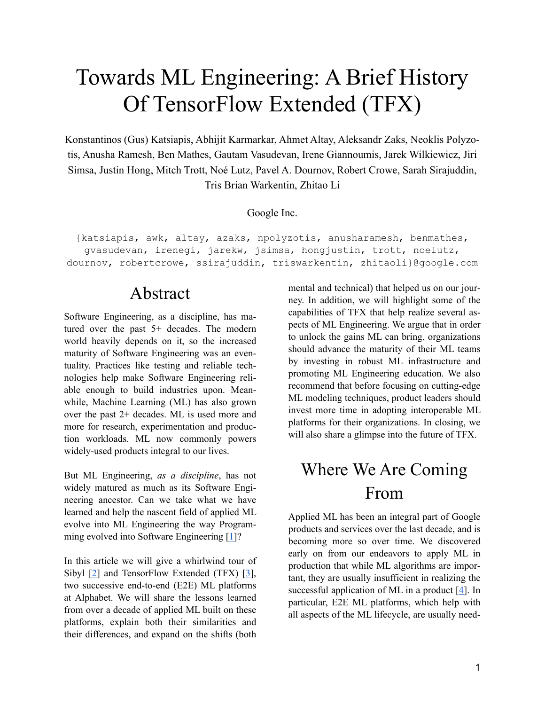# Towards ML Engineering: A Brief History Of TensorFlow Extended (TFX)

Konstantinos (Gus) Katsiapis, Abhijit Karmarkar, Ahmet Altay, Aleksandr Zaks, Neoklis Polyzotis, Anusha Ramesh, Ben Mathes, Gautam Vasudevan, Irene Giannoumis, Jarek Wilkiewicz, Jiri Simsa, Justin Hong, Mitch Trott, Noé Lutz, Pavel A. Dournov, Robert Crowe, Sarah Sirajuddin, Tris Brian Warkentin, Zhitao Li

#### Google Inc.

{katsiapis, awk, altay, azaks, npolyzotis, anusharamesh, benmathes, gvasudevan, irenegi, jarekw, jsimsa, hongjustin, trott, noelutz, dournov, robertcrowe, ssirajuddin, triswarkentin, zhitaoli}@google.com

## Abstract

Software Engineering, as a discipline, has matured over the past 5+ decades. The modern world heavily depends on it, so the increased maturity of Software Engineering was an eventuality. Practices like testing and reliable technologies help make Software Engineering reliable enough to build industries upon. Meanwhile, Machine Learning (ML) has also grown over the past 2+ decades. ML is used more and more for research, experimentation and production workloads. ML now commonly powers widely-used products integral to our lives.

But ML Engineering, *as a discipline*, has not widely matured as much as its Software Engineering ancestor. Can we take what we have learned and help the nascent field of applied ML evolve into ML Engineering the way Program-ming evolved into Software Engineering [\[1\]](http://shop.oreilly.com/product/0636920296423.do)?

In this article we will give a whirlwind tour of Sibyl [\[2\]](https://www.datanami.com/2014/07/17/inside-sibyl-googles-massively-parallel-machine-learning-platform/) and TensorFlow Extended (TFX) [\[3\]](https://tensorflow.org/tfx), two successive end-to-end (E2E) ML platforms at Alphabet. We will share the lessons learned from over a decade of applied ML built on these platforms, explain both their similarities and their differences, and expand on the shifts (both

mental and technical) that helped us on our journey. In addition, we will highlight some of the capabilities of TFX that help realize several aspects of ML Engineering. We argue that in order to unlock the gains ML can bring, organizations should advance the maturity of their ML teams by investing in robust ML infrastructure and promoting ML Engineering education. We also recommend that before focusing on cutting-edge ML modeling techniques, product leaders should invest more time in adopting interoperable ML platforms for their organizations. In closing, we will also share a glimpse into the future of TFX.

## Where We Are Coming From

Applied ML has been an integral part of Google products and services over the last decade, and is becoming more so over time. We discovered early on from our endeavors to apply ML in production that while ML algorithms are important, they are usually insufficient in realizing the successful application of ML in a product [[4](https://research.google/pubs/pub43146/)]. In particular, E2E ML platforms, which help with all aspects of the ML lifecycle, are usually need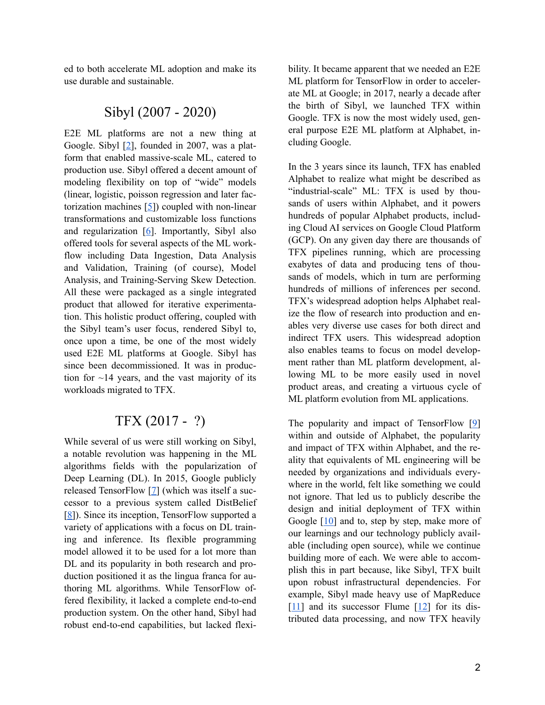ed to both accelerate ML adoption and make its use durable and sustainable.

### Sibyl (2007 - 2020)

E2E ML platforms are not a new thing at Google. Sibyl  $[2]$  $[2]$  $[2]$ , founded in 2007, was a platform that enabled massive-scale ML, catered to production use. Sibyl offered a decent amount of modeling flexibility on top of "wide" models (linear, logistic, poisson regression and later factorization machines [[5](https://www.csie.ntu.edu.tw/~b97053/paper/Rendle2010FM.pdf)]) coupled with non-linear transformations and customizable loss functions and regularization [\[6\]](https://users.soe.ucsc.edu/~niejiazhong/slides/chandra.pdf). Importantly, Sibyl also offered tools for several aspects of the ML workflow including Data Ingestion, Data Analysis and Validation, Training (of course), Model Analysis, and Training-Serving Skew Detection. All these were packaged as a single integrated product that allowed for iterative experimentation. This holistic product offering, coupled with the Sibyl team's user focus, rendered Sibyl to, once upon a time, be one of the most widely used E2E ML platforms at Google. Sibyl has since been decommissioned. It was in production for  $\sim$ 14 years, and the vast majority of its workloads migrated to TFX.

### TFX (2017 - ?)

While several of us were still working on Sibyl, a notable revolution was happening in the ML algorithms fields with the popularization of Deep Learning (DL). In 2015, Google publicly released TensorFlow [\[7\]](https://research.google/pubs/pub45381/) (which was itself a successor to a previous system called DistBelief [[8](https://research.google/pubs/pub40565/)]). Since its inception, TensorFlow supported a variety of applications with a focus on DL training and inference. Its flexible programming model allowed it to be used for a lot more than DL and its popularity in both research and production positioned it as the lingua franca for authoring ML algorithms. While TensorFlow offered flexibility, it lacked a complete end-to-end production system. On the other hand, Sibyl had robust end-to-end capabilities, but lacked flexibility. It became apparent that we needed an E2E ML platform for TensorFlow in order to accelerate ML at Google; in 2017, nearly a decade after the birth of Sibyl, we launched TFX within Google. TFX is now the most widely used, general purpose E2E ML platform at Alphabet, including Google.

In the 3 years since its launch, TFX has enabled Alphabet to realize what might be described as "industrial-scale" ML: TFX is used by thousands of users within Alphabet, and it powers hundreds of popular Alphabet products, including Cloud AI services on Google Cloud Platform (GCP). On any given day there are thousands of TFX pipelines running, which are processing exabytes of data and producing tens of thousands of models, which in turn are performing hundreds of millions of inferences per second. TFX's widespread adoption helps Alphabet realize the flow of research into production and enables very diverse use cases for both direct and indirect TFX users. This widespread adoption also enables teams to focus on model development rather than ML platform development, allowing ML to be more easily used in novel product areas, and creating a virtuous cycle of ML platform evolution from ML applications.

The popularity and impact of TensorFlow [[9](https://www.tensorflow.org/)] within and outside of Alphabet, the popularity and impact of TFX within Alphabet, and the reality that equivalents of ML engineering will be needed by organizations and individuals everywhere in the world, felt like something we could not ignore. That led us to publicly describe the design and initial deployment of TFX within Google [[10\]](https://research.google/pubs/pub46484/) and to, step by step, make more of our learnings and our technology publicly available (including open source), while we continue building more of each. We were able to accomplish this in part because, like Sibyl, TFX built upon robust infrastructural dependencies. For example, Sibyl made heavy use of MapReduce [[11](https://research.google/pubs/pub62/)] and its successor Flume [\[12](https://research.google/pubs/pub35650/)] for its distributed data processing, and now TFX heavily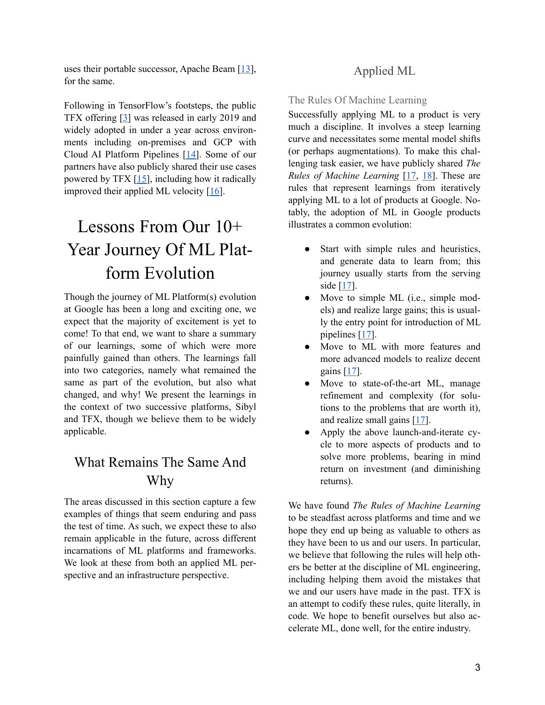uses their portable successor, Apache Beam  $[13]$  $[13]$ , for the same.

Following in TensorFlow's footsteps, the public TFX offering [\[3\]](https://www.tensorflow.org/tfx) was released in early 2019 and widely adopted in under a year across environments including on-premises and GCP with Cloud AI Platform Pipelines [\[14](https://cloud.google.com/blog/products/ai-machine-learning/introducing-cloud-ai-platform-pipelines)]. Some of our partners have also publicly shared their use cases powered by TFX [[15\]](https://blog.tensorflow.org/search?label=TFX), including how it radically improved their applied ML velocity  $[16]$  $[16]$ .

# Lessons From Our 10+ Year Journey Of ML Platform Evolution

Though the journey of ML Platform(s) evolution at Google has been a long and exciting one, we expect that the majority of excitement is yet to come! To that end, we want to share a summary of our learnings, some of which were more painfully gained than others. The learnings fall into two categories, namely what remained the same as part of the evolution, but also what changed, and why! We present the learnings in the context of two successive platforms, Sibyl and TFX, though we believe them to be widely applicable.

## What Remains The Same And Why

The areas discussed in this section capture a few examples of things that seem enduring and pass the test of time. As such, we expect these to also remain applicable in the future, across different incarnations of ML platforms and frameworks. We look at these from both an applied ML perspective and an infrastructure perspective.

### Applied ML

The Rules Of Machine Learning

Successfully applying ML to a product is very much a discipline. It involves a steep learning curve and necessitates some mental model shifts (or perhaps augmentations). To make this challenging task easier, we have publicly shared *The Rules of Machine Learning* [[17,](https://developers.google.com/machine-learning/guides/rules-of-ml) [18\]](https://www.youtube.com/watch?v=VfcY0edoSLU). These are rules that represent learnings from iteratively applying ML to a lot of products at Google. Notably, the adoption of ML in Google products illustrates a common evolution:

- Start with simple rules and heuristics, and generate data to learn from; this journey usually starts from the serving side [\[17](https://developers.google.com/machine-learning/guides/rules-of-ml#before_machine_learning)].
- Move to simple ML (i.e., simple models) and realize large gains; this is usually the entry point for introduction of ML pipelines [\[17](https://developers.google.com/machine-learning/guides/rules-of-ml#ml_phase_i_your_first_pipeline)].
- Move to ML with more features and more advanced models to realize decent gains [[17\]](https://developers.google.com/machine-learning/guides/rules-of-ml#ml_phase_ii_feature_engineering).
- Move to state-of-the-art ML, manage refinement and complexity (for solutions to the problems that are worth it), and realize small gains [[17\]](https://developers.google.com/machine-learning/guides/rules-of-ml#ml_phase_iii_slowed_growth_optimization_refinement_and_complex_models).
- Apply the above launch-and-iterate cycle to more aspects of products and to solve more problems, bearing in mind return on investment (and diminishing returns).

We have found *The Rules of Machine Learning* to be steadfast across platforms and time and we hope they end up being as valuable to others as they have been to us and our users. In particular, we believe that following the rules will help others be better at the discipline of ML engineering, including helping them avoid the mistakes that we and our users have made in the past. TFX is an attempt to codify these rules, quite literally, in code. We hope to benefit ourselves but also accelerate ML, done well, for the entire industry.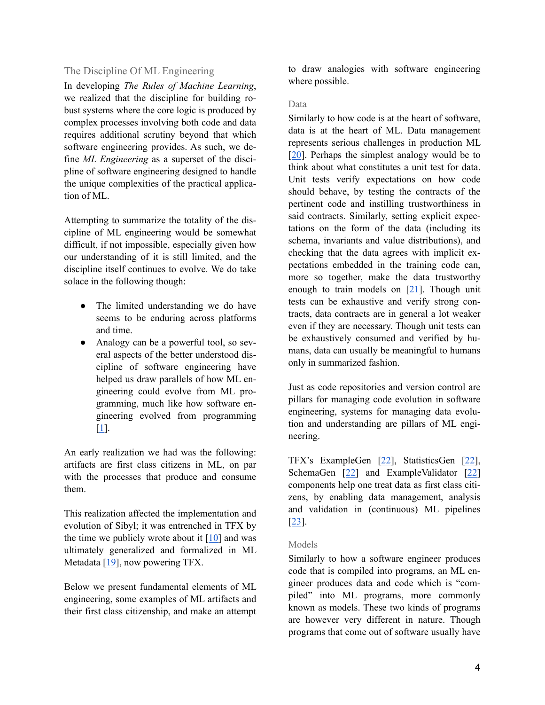#### The Discipline Of ML Engineering

In developing *The Rules of Machine Learning*, we realized that the discipline for building robust systems where the core logic is produced by complex processes involving both code and data requires additional scrutiny beyond that which software engineering provides. As such, we define *ML Engineering* as a superset of the discipline of software engineering designed to handle the unique complexities of the practical application of ML.

Attempting to summarize the totality of the discipline of ML engineering would be somewhat difficult, if not impossible, especially given how our understanding of it is still limited, and the discipline itself continues to evolve. We do take solace in the following though:

- The limited understanding we do have seems to be enduring across platforms and time.
- Analogy can be a powerful tool, so several aspects of the better understood discipline of software engineering have helped us draw parallels of how ML engineering could evolve from ML programming, much like how software engineering evolved from programming [[1](http://shop.oreilly.com/product/0636920296423.do)].

An early realization we had was the following: artifacts are first class citizens in ML, on par with the processes that produce and consume them.

This realization affected the implementation and evolution of Sibyl; it was entrenched in TFX by the time we publicly wrote about it  $[10]$  $[10]$  and was ultimately generalized and formalized in ML Metadata [\[19](https://www.tensorflow.org/tfx/guide/mlmd)], now powering TFX.

Below we present fundamental elements of ML engineering, some examples of ML artifacts and their first class citizenship, and make an attempt to draw analogies with software engineering where possible.

#### Data

Similarly to how code is at the heart of software, data is at the heart of ML. Data management represents serious challenges in production ML [[20\]](https://research.google/pubs/pub46178/). Perhaps the simplest analogy would be to think about what constitutes a unit test for data. Unit tests verify expectations on how code should behave, by testing the contracts of the pertinent code and instilling trustworthiness in said contracts. Similarly, setting explicit expectations on the form of the data (including its schema, invariants and value distributions), and checking that the data agrees with implicit expectations embedded in the training code can, more so together, make the data trustworthy enough to train models on  $[21]$  $[21]$ . Though unit tests can be exhaustive and verify strong contracts, data contracts are in general a lot weaker even if they are necessary. Though unit tests can be exhaustively consumed and verified by humans, data can usually be meaningful to humans only in summarized fashion.

Just as code repositories and version control are pillars for managing code evolution in software engineering, systems for managing data evolution and understanding are pillars of ML engineering.

TFX's ExampleGen [\[22](https://www.tensorflow.org/tfx/guide/examplegen)], StatisticsGen [[22\]](https://www.tensorflow.org/tfx/guide/statsgen), SchemaGen  $[22]$  $[22]$  and ExampleValidator  $[22]$  $[22]$ components help one treat data as first class citizens, by enabling data management, analysis and validation in (continuous) ML pipelines [[23\]](https://research.google/pubs/pub48974/).

#### Models

Similarly to how a software engineer produces code that is compiled into programs, an ML engineer produces data and code which is "compiled" into ML programs, more commonly known as models. These two kinds of programs are however very different in nature. Though programs that come out of software usually have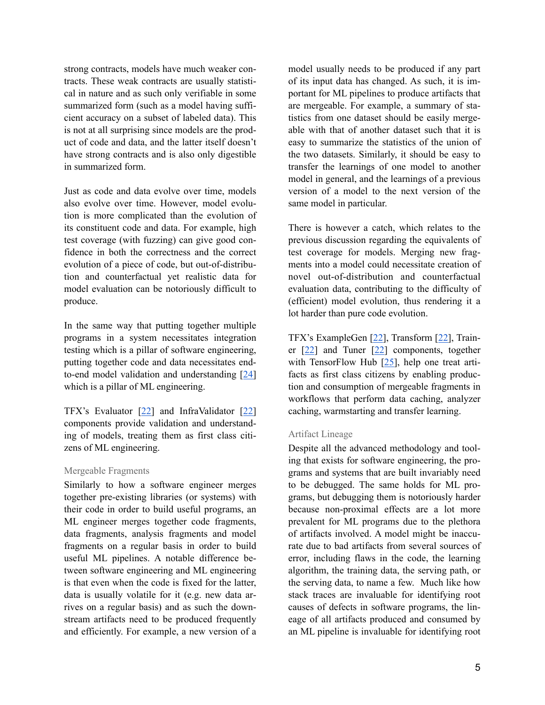strong contracts, models have much weaker contracts. These weak contracts are usually statistical in nature and as such only verifiable in some summarized form (such as a model having sufficient accuracy on a subset of labeled data). This is not at all surprising since models are the product of code and data, and the latter itself doesn't have strong contracts and is also only digestible in summarized form.

Just as code and data evolve over time, models also evolve over time. However, model evolution is more complicated than the evolution of its constituent code and data. For example, high test coverage (with fuzzing) can give good confidence in both the correctness and the correct evolution of a piece of code, but out-of-distribution and counterfactual yet realistic data for model evaluation can be notoriously difficult to produce.

In the same way that putting together multiple programs in a system necessitates integration testing which is a pillar of software engineering, putting together code and data necessitates endto-end model validation and understanding [\[24](https://research.google/pubs/pub47966/)] which is a pillar of ML engineering.

TFX's Evaluator [[22\]](https://www.tensorflow.org/tfx/guide/evaluator) and InfraValidator [\[22](https://www.tensorflow.org/tfx/guide/infra_validator)] components provide validation and understanding of models, treating them as first class citizens of ML engineering.

#### Mergeable Fragments

Similarly to how a software engineer merges together pre-existing libraries (or systems) with their code in order to build useful programs, an ML engineer merges together code fragments, data fragments, analysis fragments and model fragments on a regular basis in order to build useful ML pipelines. A notable difference between software engineering and ML engineering is that even when the code is fixed for the latter, data is usually volatile for it (e.g. new data arrives on a regular basis) and as such the downstream artifacts need to be produced frequently and efficiently. For example, a new version of a model usually needs to be produced if any part of its input data has changed. As such, it is important for ML pipelines to produce artifacts that are mergeable. For example, a summary of statistics from one dataset should be easily mergeable with that of another dataset such that it is easy to summarize the statistics of the union of the two datasets. Similarly, it should be easy to transfer the learnings of one model to another model in general, and the learnings of a previous version of a model to the next version of the same model in particular.

There is however a catch, which relates to the previous discussion regarding the equivalents of test coverage for models. Merging new fragments into a model could necessitate creation of novel out-of-distribution and counterfactual evaluation data, contributing to the difficulty of (efficient) model evolution, thus rendering it a lot harder than pure code evolution.

TFX's ExampleGen [\[22](https://www.tensorflow.org/tfx/guide/examplegen)], Transform [[22\]](https://www.tensorflow.org/tfx/guide/transform), Trainer [\[22](https://www.tensorflow.org/tfx/guide/trainer)] and Tuner [[22\]](https://www.tensorflow.org/tfx/guide/tuner) components, together with TensorFlow Hub [[25\]](https://www.tensorflow.org/hub/overview), help one treat artifacts as first class citizens by enabling production and consumption of mergeable fragments in workflows that perform data caching, analyzer caching, warmstarting and transfer learning.

#### Artifact Lineage

Despite all the advanced methodology and tooling that exists for software engineering, the programs and systems that are built invariably need to be debugged. The same holds for ML programs, but debugging them is notoriously harder because non-proximal effects are a lot more prevalent for ML programs due to the plethora of artifacts involved. A model might be inaccurate due to bad artifacts from several sources of error, including flaws in the code, the learning algorithm, the training data, the serving path, or the serving data, to name a few. Much like how stack traces are invaluable for identifying root causes of defects in software programs, the lineage of all artifacts produced and consumed by an ML pipeline is invaluable for identifying root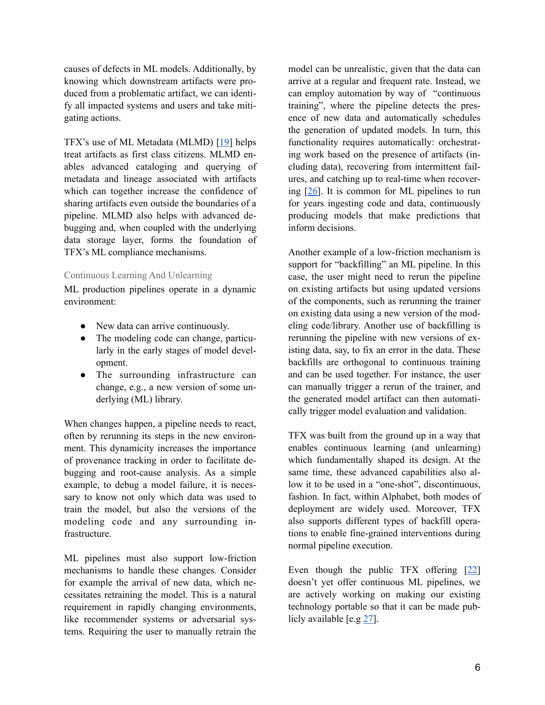causes of defects in ML models. Additionally, by knowing which downstream artifacts were produced from a problematic artifact, we can identify all impacted systems and users and take mitigating actions.

TFX's use of ML Metadata (MLMD) [[19\]](https://www.tensorflow.org/tfx/guide/mlmd) helps treat artifacts as first class citizens. MLMD enables advanced cataloging and querying of metadata and lineage associated with artifacts which can together increase the confidence of sharing artifacts even outside the boundaries of a pipeline. MLMD also helps with advanced debugging and, when coupled with the underlying data storage layer, forms the foundation of TFX's ML compliance mechanisms.

#### Continuous Learning And Unlearning

ML production pipelines operate in a dynamic environment:

- New data can arrive continuously.
- The modeling code can change, particularly in the early stages of model development.
- The surrounding infrastructure can change, e.g., a new version of some underlying (ML) library.

When changes happen, a pipeline needs to react, often by rerunning its steps in the new environment. This dynamicity increases the importance of provenance tracking in order to facilitate debugging and root-cause analysis. As a simple example, to debug a model failure, it is necessary to know not only which data was used to train the model, but also the versions of the modeling code and any surrounding infrastructure.

ML pipelines must also support low-friction mechanisms to handle these changes. Consider for example the arrival of new data, which necessitates retraining the model. This is a natural requirement in rapidly changing environments, like recommender systems or adversarial systems. Requiring the user to manually retrain the

model can be unrealistic, given that the data can arrive at a regular and frequent rate. Instead, we can employ automation by way of "continuous training", where the pipeline detects the presence of new data and automatically schedules the generation of updated models. In turn, this functionality requires automatically: orchestrating work based on the presence of artifacts (including data), recovering from intermittent failures, and catching up to real-time when recovering [[26\]](https://research.google/pubs/pub47978/). It is common for ML pipelines to run for years ingesting code and data, continuously producing models that make predictions that inform decisions.

Another example of a low-friction mechanism is support for "backfilling" an ML pipeline. In this case, the user might need to rerun the pipeline on existing artifacts but using updated versions of the components, such as rerunning the trainer on existing data using a new version of the modeling code/library. Another use of backfilling is rerunning the pipeline with new versions of existing data, say, to fix an error in the data. These backfills are orthogonal to continuous training and can be used together. For instance, the user can manually trigger a rerun of the trainer, and the generated model artifact can then automatically trigger model evaluation and validation.

TFX was built from the ground up in a way that enables continuous learning (and unlearning) which fundamentally shaped its design. At the same time, these advanced capabilities also allow it to be used in a "one-shot", discontinuous, fashion. In fact, within Alphabet, both modes of deployment are widely used. Moreover, TFX also supports different types of backfill operations to enable fine-grained interventions during normal pipeline execution.

Even though the public TFX offering [\[22](https://www.tensorflow.org/tfx/guide)] doesn't yet offer continuous ML pipelines, we are actively working on making our existing technology portable so that it can be made publicly available [e.g [27](https://github.com/tensorflow/community/pull/253)].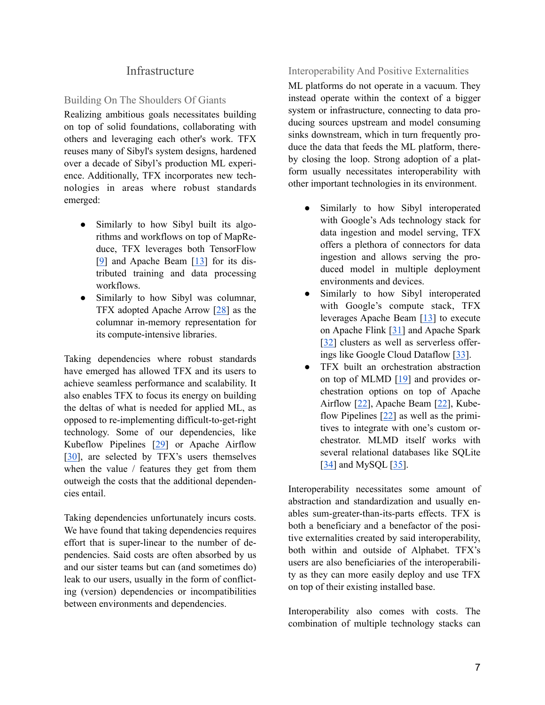#### **Infrastructure**

#### Building On The Shoulders Of Giants

Realizing ambitious goals necessitates building on top of solid foundations, collaborating with others and leveraging each other's work. TFX reuses many of Sibyl's system designs, hardened over a decade of Sibyl's production ML experience. Additionally, TFX incorporates new technologies in areas where robust standards emerged:

- Similarly to how Sibyl built its algorithms and workflows on top of MapReduce, TFX leverages both TensorFlow [[9](https://www.tensorflow.org/)] and Apache Beam [[13\]](https://beam.apache.org/) for its distributed training and data processing workflows.
- Similarly to how Sibyl was columnar, TFX adopted Apache Arrow [\[28](https://arrow.apache.org/)] as the columnar in-memory representation for its compute-intensive libraries.

Taking dependencies where robust standards have emerged has allowed TFX and its users to achieve seamless performance and scalability. It also enables TFX to focus its energy on building the deltas of what is needed for applied ML, as opposed to re-implementing difficult-to-get-right technology. Some of our dependencies, like Kubeflow Pipelines [[29\]](https://www.kubeflow.org/docs/pipelines/overview/pipelines-overview/) or Apache Airflow [[30\]](https://airflow.apache.org/), are selected by TFX's users themselves when the value / features they get from them outweigh the costs that the additional dependencies entail.

Taking dependencies unfortunately incurs costs. We have found that taking dependencies requires effort that is super-linear to the number of dependencies. Said costs are often absorbed by us and our sister teams but can (and sometimes do) leak to our users, usually in the form of conflicting (version) dependencies or incompatibilities between environments and dependencies.

#### Interoperability And Positive Externalities

ML platforms do not operate in a vacuum. They instead operate within the context of a bigger system or infrastructure, connecting to data producing sources upstream and model consuming sinks downstream, which in turn frequently produce the data that feeds the ML platform, thereby closing the loop. Strong adoption of a platform usually necessitates interoperability with other important technologies in its environment.

- Similarly to how Sibyl interoperated with Google's Ads technology stack for data ingestion and model serving, TFX offers a plethora of connectors for data ingestion and allows serving the produced model in multiple deployment environments and devices.
- Similarly to how Sibyl interoperated with Google's compute stack, TFX leverages Apache Beam [\[13](https://beam.apache.org/)] to execute on Apache Flink [[31\]](https://flink.apache.org/) and Apache Spark [[32\]](https://spark.apache.org/) clusters as well as serverless offerings like Google Cloud Dataflow [\[33](https://cloud.google.com/dataflow/)].
- TFX built an orchestration abstraction on top of MLMD [\[19](https://www.tensorflow.org/tfx/guide/mlmd)] and provides orchestration options on top of Apache Airflow [[22\]](https://www.tensorflow.org/tfx/guide/airflow), Apache Beam [[22\]](https://www.tensorflow.org/tfx/guide/beam_orchestrator), Kubeflow Pipelines [[22\]](https://www.tensorflow.org/tfx/guide/kubeflow) as well as the primitives to integrate with one's custom orchestrator. MLMD itself works with several relational databases like SQLite [[34\]](https://www.sqlite.org/index.html) and MySQL [[35\]](https://www.mysql.com/).

Interoperability necessitates some amount of abstraction and standardization and usually enables sum-greater-than-its-parts effects. TFX is both a beneficiary and a benefactor of the positive externalities created by said interoperability, both within and outside of Alphabet. TFX's users are also beneficiaries of the interoperability as they can more easily deploy and use TFX on top of their existing installed base.

Interoperability also comes with costs. The combination of multiple technology stacks can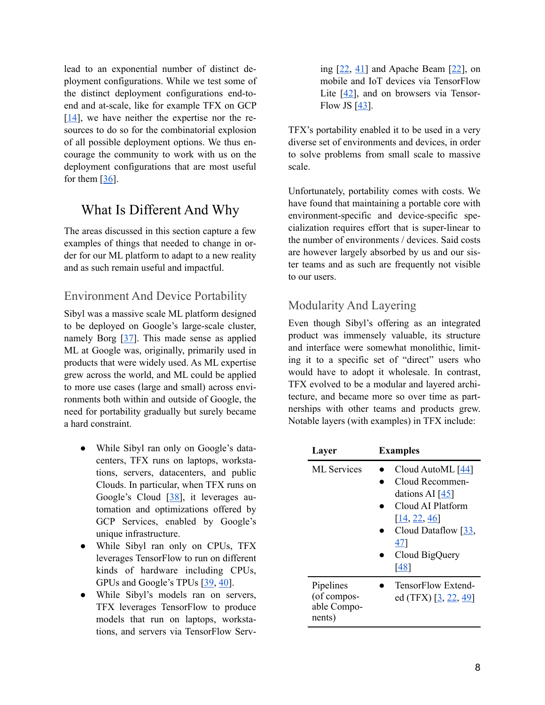lead to an exponential number of distinct deployment configurations. While we test some of the distinct deployment configurations end-toend and at-scale, like for example TFX on GCP  $[14]$  $[14]$ , we have neither the expertise nor the resources to do so for the combinatorial explosion of all possible deployment options. We thus encourage the community to work with us on the deployment configurations that are most useful for them [[36\]](https://github.com/tensorflow/tfx/blob/master/CONTRIBUTING.md).

## What Is Different And Why

The areas discussed in this section capture a few examples of things that needed to change in order for our ML platform to adapt to a new reality and as such remain useful and impactful.

### Environment And Device Portability

Sibyl was a massive scale ML platform designed to be deployed on Google's large-scale cluster, namely Borg [\[37](https://research.google/pubs/pub43438/)]. This made sense as applied ML at Google was, originally, primarily used in products that were widely used. As ML expertise grew across the world, and ML could be applied to more use cases (large and small) across environments both within and outside of Google, the need for portability gradually but surely became a hard constraint.

- While Sibyl ran only on Google's datacenters, TFX runs on laptops, workstations, servers, datacenters, and public Clouds. In particular, when TFX runs on Google's Cloud [[38\]](https://cloud.google.com/), it leverages automation and optimizations offered by GCP Services, enabled by Google's unique infrastructure.
- While Sibyl ran only on CPUs, TFX leverages TensorFlow to run on different kinds of hardware including CPUs, GPUs and Google's TPUs [\[39](https://cloud.google.com/tpu), [40\]](https://dl.acm.org/doi/10.1145/3360307).
- While Sibyl's models ran on servers, TFX leverages TensorFlow to produce models that run on laptops, workstations, and servers via TensorFlow Serv-

ing  $[22, 41]$  $[22, 41]$  $[22, 41]$  $[22, 41]$  $[22, 41]$  and Apache Beam  $[22]$  $[22]$ , on mobile and IoT devices via TensorFlow Lite [\[42](https://www.tensorflow.org/lite/guide)], and on browsers via Tensor-Flow JS [\[43](https://www.tensorflow.org/js/tutorials)].

TFX's portability enabled it to be used in a very diverse set of environments and devices, in order to solve problems from small scale to massive scale.

Unfortunately, portability comes with costs. We have found that maintaining a portable core with environment-specific and device-specific specialization requires effort that is super-linear to the number of environments / devices. Said costs are however largely absorbed by us and our sister teams and as such are frequently not visible to our users.

### Modularity And Layering

Even though Sibyl's offering as an integrated product was immensely valuable, its structure and interface were somewhat monolithic, limiting it to a specific set of "direct" users who would have to adopt it wholesale. In contrast, TFX evolved to be a modular and layered architecture, and became more so over time as partnerships with other teams and products grew. Notable layers (with examples) in TFX include:

| Layer                                             | <b>Examples</b>                                                                                                                                             |  |
|---------------------------------------------------|-------------------------------------------------------------------------------------------------------------------------------------------------------------|--|
| <b>ML</b> Services                                | Cloud AutoML $[44]$<br>Cloud Recommen-<br>dations AI $[45]$<br>Cloud AI Platform<br>[14, 22, 46]<br>Cloud Dataflow $[33]$ ,<br>47<br>Cloud BigQuery<br>[48] |  |
| Pipelines<br>(of compos-<br>able Compo-<br>nents) | TensorFlow Extend-<br>ed (TFX) [3, 22, 49]                                                                                                                  |  |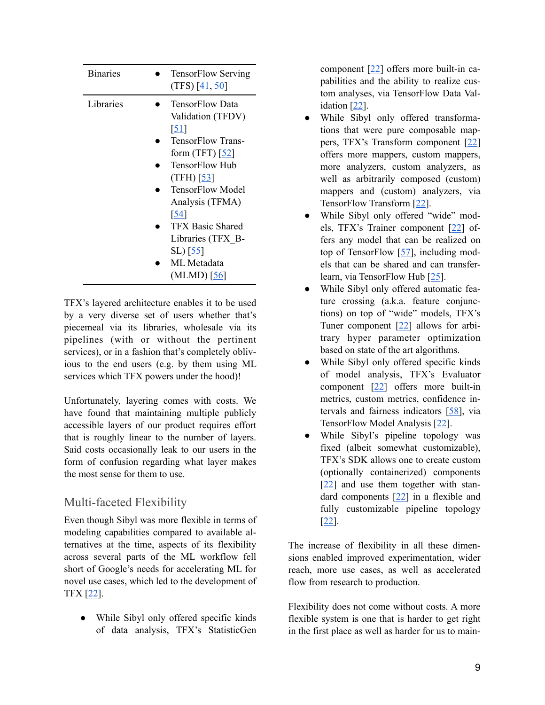| <b>Binaries</b> |                   | <b>TensorFlow Serving</b><br>$(TFS)$ [41, 50] |
|-----------------|-------------------|-----------------------------------------------|
| Libraries       | <u>[5]</u>        | <b>TensorFlow Data</b><br>Validation (TFDV)   |
|                 |                   | TensorFlow Trans-<br>form $(TFT)$ [52]        |
|                 | (TFH) $[53]$      | <b>TensorFlow Hub</b>                         |
|                 |                   | <b>TensorFlow Model</b><br>Analysis (TFMA)    |
|                 | $\sqrt{54}$       |                                               |
|                 |                   | <b>TFX Basic Shared</b><br>Libraries (TFX B-  |
|                 | SL) [ <u>55</u> ] | ML Metadata                                   |
|                 |                   | $(MLMD)$ $[56]$                               |

TFX's layered architecture enables it to be used by a very diverse set of users whether that's piecemeal via its libraries, wholesale via its pipelines (with or without the pertinent services), or in a fashion that's completely oblivious to the end users (e.g. by them using ML services which TFX powers under the hood)!

Unfortunately, layering comes with costs. We have found that maintaining multiple publicly accessible layers of our product requires effort that is roughly linear to the number of layers. Said costs occasionally leak to our users in the form of confusion regarding what layer makes the most sense for them to use.

### Multi-faceted Flexibility

Even though Sibyl was more flexible in terms of modeling capabilities compared to available alternatives at the time, aspects of its flexibility across several parts of the ML workflow fell short of Google's needs for accelerating ML for novel use cases, which led to the development of TFX [\[22](https://www.tensorflow.org/tfx/guide)].

• While Sibyl only offered specific kinds of data analysis, TFX's StatisticGen component [\[22](https://www.tensorflow.org/tfx/guide/statsgen)] offers more built-in capabilities and the ability to realize custom analyses, via TensorFlow Data Validation [[22\]](https://www.tensorflow.org/tfx/data_validation/get_started).

- While Sibyl only offered transformations that were pure composable mappers, TFX's Transform component [\[22](https://www.tensorflow.org/tfx/guide/transform)] offers more mappers, custom mappers, more analyzers, custom analyzers, as well as arbitrarily composed (custom) mappers and (custom) analyzers, via TensorFlow Transform [\[22](https://www.tensorflow.org/tfx/transform/get_started)].
- While Sibyl only offered "wide" models, TFX's Trainer component [[22\]](https://www.tensorflow.org/tfx/guide/trainer) offers any model that can be realized on top of TensorFlow [\[57](https://www.tensorflow.org/guide)], including models that can be shared and can transferlearn, via TensorFlow Hub [[25\]](https://www.tensorflow.org/hub).
- While Sibyl only offered automatic feature crossing (a.k.a. feature conjunctions) on top of "wide" models, TFX's Tuner component [\[22](https://www.tensorflow.org/tfx/guide/tuner)] allows for arbitrary hyper parameter optimization based on state of the art algorithms.
- While Sibyl only offered specific kinds of model analysis, TFX's Evaluator component [[22\]](https://www.tensorflow.org/tfx/guide/evaluator) offers more built-in metrics, custom metrics, confidence intervals and fairness indicators [[58\]](https://www.tensorflow.org/tfx/fairness_indicators), via TensorFlow Model Analysis [[22\]](https://www.tensorflow.org/tfx/guide/tfma).
- While Sibyl's pipeline topology was fixed (albeit somewhat customizable), TFX's SDK allows one to create custom (optionally containerized) components [[22\]](https://www.tensorflow.org/tfx/guide/understanding_custom_components) and use them together with standard components [\[22](https://www.tensorflow.org/tfx/guide%23tfx_standard_components)] in a flexible and fully customizable pipeline topology [[22\]](https://www.tensorflow.org/tfx/guide/understanding_tfx_pipelines).

The increase of flexibility in all these dimensions enabled improved experimentation, wider reach, more use cases, as well as accelerated flow from research to production.

Flexibility does not come without costs. A more flexible system is one that is harder to get right in the first place as well as harder for us to main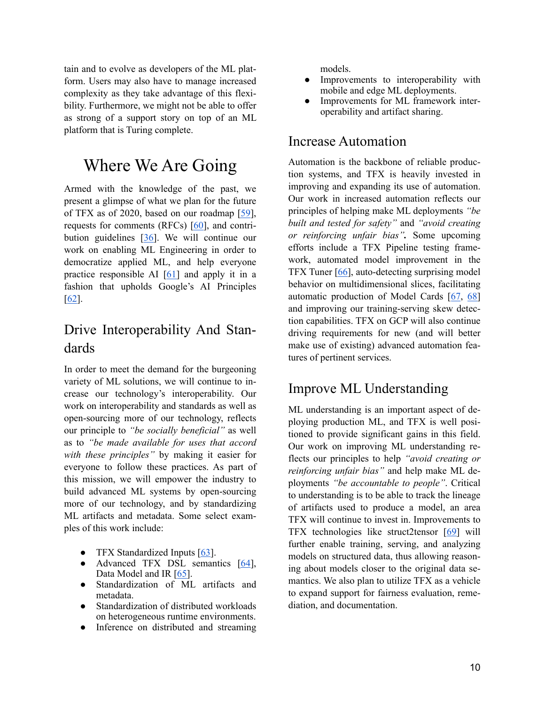tain and to evolve as developers of the ML platform. Users may also have to manage increased complexity as they take advantage of this flexibility. Furthermore, we might not be able to offer as strong of a support story on top of an ML platform that is Turing complete.

## Where We Are Going

Armed with the knowledge of the past, we present a glimpse of what we plan for the future of TFX as of 2020, based on our roadmap [[59\]](https://github.com/tensorflow/tfx/blob/master/ROADMAP.md), requests for comments (RFCs) [[60\]](https://github.com/tensorflow/tfx/blob/master/RFCs.md), and contribution guidelines [[36\]](https://github.com/tensorflow/tfx/blob/master/CONTRIBUTING.md). We will continue our work on enabling ML Engineering in order to democratize applied ML, and help everyone practice responsible AI [\[61](https://www.tensorflow.org/resources/responsible-ai)] and apply it in a fashion that upholds Google's AI Principles [[62\]](https://ai.google/principles/).

## Drive Interoperability And Standards

In order to meet the demand for the burgeoning variety of ML solutions, we will continue to increase our technology's interoperability. Our work on interoperability and standards as well as open-sourcing more of our technology, reflects our principle to *"be socially beneficial"* as well as to *"be made available for uses that accord with these principles"* by making it easier for everyone to follow these practices. As part of this mission, we will empower the industry to build advanced ML systems by open-sourcing more of our technology, and by standardizing ML artifacts and metadata. Some select examples of this work include:

- TFX Standardized Inputs [[63\]](https://github.com/tensorflow/community/blob/master/rfcs/20191017-tfx-standardized-inputs.md).
- Advanced TFX DSL semantics  $[64]$  $[64]$ , Data Model and IR [\[65](https://github.com/tensorflow/community/pull/271)].
- Standardization of ML artifacts and metadata.
- Standardization of distributed workloads on heterogeneous runtime environments.
- Inference on distributed and streaming

models.

- Improvements to interoperability with mobile and edge ML deployments.
- Improvements for ML framework interoperability and artifact sharing.

### Increase Automation

Automation is the backbone of reliable production systems, and TFX is heavily invested in improving and expanding its use of automation. Our work in increased automation reflects our principles of helping make ML deployments *"be built and tested for safety"* and *"avoid creating or reinforcing unfair bias".* Some upcoming efforts include a TFX Pipeline testing framework, automated model improvement in the TFX Tuner [[66\]](https://github.com/tensorflow/community/blob/master/rfcs/20200420-tfx-tuner-component.md), auto-detecting surprising model behavior on multidimensional slices, facilitating automatic production of Model Cards [[67,](https://modelcards.withgoogle.com/about) [68](https://ai.googleblog.com/2020/07/introducing-model-card-toolkit-for.html)] and improving our training-serving skew detection capabilities. TFX on GCP will also continue driving requirements for new (and will better make use of existing) advanced automation features of pertinent services.

## Improve ML Understanding

ML understanding is an important aspect of deploying production ML, and TFX is well positioned to provide significant gains in this field. Our work on improving ML understanding reflects our principles to help *"avoid creating or reinforcing unfair bias"* and help make ML deployments *"be accountable to people"*. Critical to understanding is to be able to track the lineage of artifacts used to produce a model, an area TFX will continue to invest in. Improvements to TFX technologies like struct2tensor [\[69](https://github.com/google/struct2tensor)] will further enable training, serving, and analyzing models on structured data, thus allowing reasoning about models closer to the original data semantics. We also plan to utilize TFX as a vehicle to expand support for fairness evaluation, remediation, and documentation.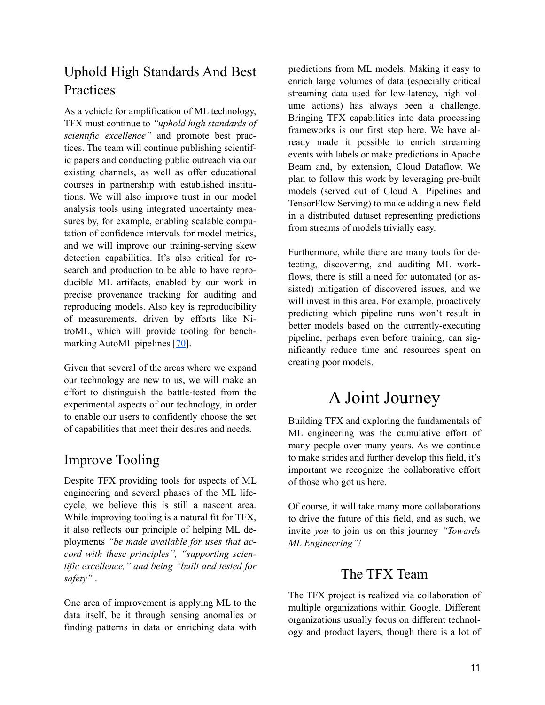## Uphold High Standards And Best Practices

As a vehicle for amplification of ML technology, TFX must continue to *"uphold high standards of scientific excellence"* and promote best practices. The team will continue publishing scientific papers and conducting public outreach via our existing channels, as well as offer educational courses in partnership with established institutions. We will also improve trust in our model analysis tools using integrated uncertainty measures by, for example, enabling scalable computation of confidence intervals for model metrics, and we will improve our training-serving skew detection capabilities. It's also critical for research and production to be able to have reproducible ML artifacts, enabled by our work in precise provenance tracking for auditing and reproducing models. Also key is reproducibility of measurements, driven by efforts like NitroML, which will provide tooling for benchmarking AutoML pipelines [[70\]](https://www.youtube.com/watch?v=SagSL38Kx0Q).

Given that several of the areas where we expand our technology are new to us, we will make an effort to distinguish the battle-tested from the experimental aspects of our technology, in order to enable our users to confidently choose the set of capabilities that meet their desires and needs.

## Improve Tooling

Despite TFX providing tools for aspects of ML engineering and several phases of the ML lifecycle, we believe this is still a nascent area. While improving tooling is a natural fit for TFX, it also reflects our principle of helping ML deployments *"be made available for uses that accord with these principles", "supporting scientific excellence," and being "built and tested for safety"* .

One area of improvement is applying ML to the data itself, be it through sensing anomalies or finding patterns in data or enriching data with predictions from ML models. Making it easy to enrich large volumes of data (especially critical streaming data used for low-latency, high volume actions) has always been a challenge. Bringing TFX capabilities into data processing frameworks is our first step here. We have already made it possible to enrich streaming events with labels or make predictions in Apache Beam and, by extension, Cloud Dataflow. We plan to follow this work by leveraging pre-built models (served out of Cloud AI Pipelines and TensorFlow Serving) to make adding a new field in a distributed dataset representing predictions from streams of models trivially easy.

Furthermore, while there are many tools for detecting, discovering, and auditing ML workflows, there is still a need for automated (or assisted) mitigation of discovered issues, and we will invest in this area. For example, proactively predicting which pipeline runs won't result in better models based on the currently-executing pipeline, perhaps even before training, can significantly reduce time and resources spent on creating poor models.

## A Joint Journey

Building TFX and exploring the fundamentals of ML engineering was the cumulative effort of many people over many years. As we continue to make strides and further develop this field, it's important we recognize the collaborative effort of those who got us here.

Of course, it will take many more collaborations to drive the future of this field, and as such, we invite *you* to join us on this journey *"Towards ML Engineering"!*

## The TFX Team

The TFX project is realized via collaboration of multiple organizations within Google. Different organizations usually focus on different technology and product layers, though there is a lot of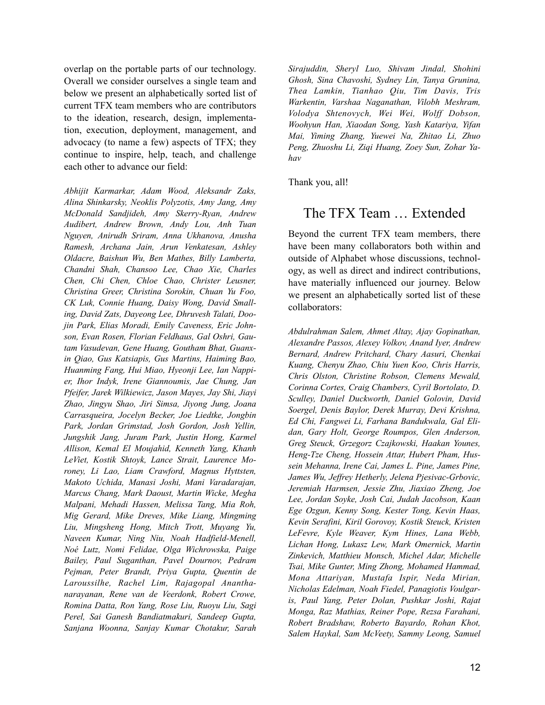overlap on the portable parts of our technology. Overall we consider ourselves a single team and below we present an alphabetically sorted list of current TFX team members who are contributors to the ideation, research, design, implementation, execution, deployment, management, and advocacy (to name a few) aspects of TFX; they continue to inspire, help, teach, and challenge each other to advance our field:

*Abhijit Karmarkar, Adam Wood, Aleksandr Zaks, Alina Shinkarsky, Neoklis Polyzotis, Amy Jang, Amy McDonald Sandjideh, Amy Skerry-Ryan, Andrew Audibert, Andrew Brown, Andy Lou, Anh Tuan Nguyen, Anirudh Sriram, Anna Ukhanova, Anusha Ramesh, Archana Jain, Arun Venkatesan, Ashley Oldacre, Baishun Wu, Ben Mathes, Billy Lamberta, Chandni Shah, Chansoo Lee, Chao Xie, Charles Chen, Chi Chen, Chloe Chao, Christer Leusner, Christina Greer, Christina Sorokin, Chuan Yu Foo, CK Luk, Connie Huang, Daisy Wong, David Smalling, David Zats, Dayeong Lee, Dhruvesh Talati, Doojin Park, Elias Moradi, Emily Caveness, Eric Johnson, Evan Rosen, Florian Feldhaus, Gal Oshri, Gautam Vasudevan, Gene Huang, Goutham Bhat, Guanxin Qiao, Gus Katsiapis, Gus Martins, Haiming Bao, Huanming Fang, Hui Miao, Hyeonji Lee, Ian Nappier, Ihor Indyk, Irene Giannoumis, Jae Chung, Jan Pfeifer, Jarek Wilkiewicz, Jason Mayes, Jay Shi, Jiayi Zhao, Jingyu Shao, Jiri Simsa, Jiyong Jung, Joana Carrasqueira, Jocelyn Becker, Joe Liedtke, Jongbin Park, Jordan Grimstad, Josh Gordon, Josh Yellin, Jungshik Jang, Juram Park, Justin Hong, Karmel Allison, Kemal El Moujahid, Kenneth Yang, Khanh LeViet, Kostik Shtoyk, Lance Strait, Laurence Moroney, Li Lao, Liam Crawford, Magnus Hyttsten, Makoto Uchida, Manasi Joshi, Mani Varadarajan, Marcus Chang, Mark Daoust, Martin Wicke, Megha Malpani, Mehadi Hassen, Melissa Tang, Mia Roh, Mig Gerard, Mike Dreves, Mike Liang, Mingming Liu, Mingsheng Hong, Mitch Trott, Muyang Yu, Naveen Kumar, Ning Niu, Noah Hadfield-Menell, Noé Lutz, Nomi Felidae, Olga Wichrowska, Paige Bailey, Paul Suganthan, Pavel Dournov, Pedram Pejman, Peter Brandt, Priya Gupta, Quentin de Laroussilhe, Rachel Lim, Rajagopal Ananthanarayanan, Rene van de Veerdonk, Robert Crowe, Romina Datta, Ron Yang, Rose Liu, Ruoyu Liu, Sagi Perel, Sai Ganesh Bandiatmakuri, Sandeep Gupta, Sanjana Woonna, Sanjay Kumar Chotakur, Sarah*  *Sirajuddin, Sheryl Luo, Shivam Jindal, Shohini Ghosh, Sina Chavoshi, Sydney Lin, Tanya Grunina, Thea Lamkin, Tianhao Qiu, Tim Davis, Tris Warkentin, Varshaa Naganathan, Vilobh Meshram, Volodya Shtenovych, Wei Wei, Wolff Dobson, Woohyun Han, Xiaodan Song, Yash Katariya, Yifan Mai, Yiming Zhang, Yuewei Na, Zhitao Li, Zhuo Peng, Zhuoshu Li, Ziqi Huang, Zoey Sun, Zohar Yahav*

Thank you, all!

### The TFX Team … Extended

Beyond the current TFX team members, there have been many collaborators both within and outside of Alphabet whose discussions, technology, as well as direct and indirect contributions, have materially influenced our journey. Below we present an alphabetically sorted list of these collaborators:

*Abdulrahman Salem, Ahmet Altay, Ajay Gopinathan, Alexandre Passos, Alexey Volkov, Anand Iyer, Andrew Bernard, Andrew Pritchard, Chary Aasuri, Chenkai Kuang, Chenyu Zhao, Chiu Yuen Koo, Chris Harris, Chris Olston, Christine Robson, Clemens Mewald, Corinna Cortes, Craig Chambers, Cyril Bortolato, D. Sculley, Daniel Duckworth, Daniel Golovin, David Soergel, Denis Baylor, Derek Murray, Devi Krishna, Ed Chi, Fangwei Li, Farhana Bandukwala, Gal Elidan, Gary Holt, George Roumpos, Glen Anderson, Greg Steuck, Grzegorz Czajkowski, Haakan Younes, Heng-Tze Cheng, Hossein Attar, Hubert Pham, Hussein Mehanna, Irene Cai, James L. Pine, James Pine, James Wu, Jeffrey Hetherly, Jelena Pjesivac-Grbovic, Jeremiah Harmsen, Jessie Zhu, Jiaxiao Zheng, Joe Lee, Jordan Soyke, Josh Cai, Judah Jacobson, Kaan Ege Ozgun, Kenny Song, Kester Tong, Kevin Haas, Kevin Serafini, Kiril Gorovoy, Kostik Steuck, Kristen LeFevre, Kyle Weaver, Kym Hines, Lana Webb, Lichan Hong, Lukasz Lew, Mark Omernick, Martin Zinkevich, Matthieu Monsch, Michel Adar, Michelle Tsai, Mike Gunter, Ming Zhong, Mohamed Hammad, Mona Attariyan, Mustafa Ispir, Neda Mirian, Nicholas Edelman, Noah Fiedel, Panagiotis Voulgaris, Paul Yang, Peter Dolan, Pushkar Joshi, Rajat Monga, Raz Mathias, Reiner Pope, Rezsa Farahani, Robert Bradshaw, Roberto Bayardo, Rohan Khot, Salem Haykal, Sam McVeety, Sammy Leong, Samuel*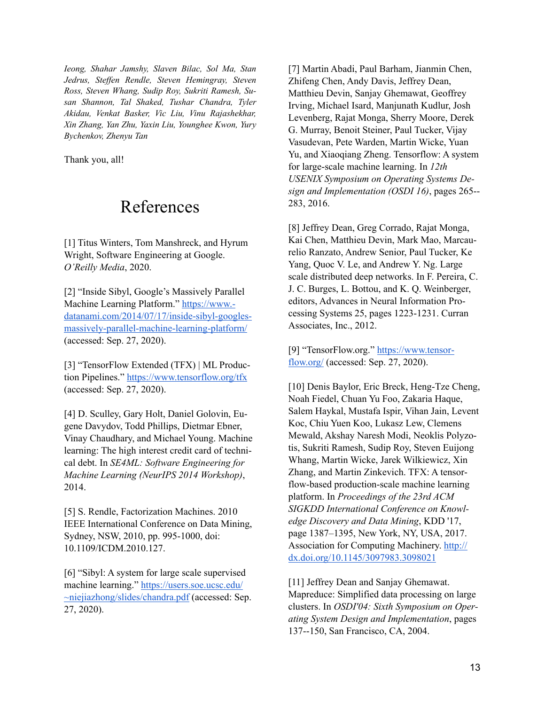*Ieong, Shahar Jamshy, Slaven Bilac, Sol Ma, Stan Jedrus, Steffen Rendle, Steven Hemingray, Steven Ross, Steven Whang, Sudip Roy, Sukriti Ramesh, Susan Shannon, Tal Shaked, Tushar Chandra, Tyler Akidau, Venkat Basker, Vic Liu, Vinu Rajashekhar, Xin Zhang, Yan Zhu, Yaxin Liu, Younghee Kwon, Yury Bychenkov, Zhenyu Tan*

Thank you, all!

## References

[1] Titus Winters, Tom Manshreck, and Hyrum Wright, Software Engineering at Google. *O'Reilly Media*, 2020.

[2] "Inside Sibyl, Google's Massively Parallel Machine Learning Platform." [https://www.](https://www.datanami.com/2014/07/17/inside-sibyl-googles-massively-parallel-machine-learning-platform/) [datanami.com/2014/07/17/inside-sibyl-googles](https://www.datanami.com/2014/07/17/inside-sibyl-googles-massively-parallel-machine-learning-platform/)[massively-parallel-machine-learning-platform/](https://www.datanami.com/2014/07/17/inside-sibyl-googles-massively-parallel-machine-learning-platform/) (accessed: Sep. 27, 2020).

[3] "TensorFlow Extended (TFX) | ML Production Pipelines." <https://www.tensorflow.org/tfx> (accessed: Sep. 27, 2020).

[4] D. Sculley, Gary Holt, Daniel Golovin, Eugene Davydov, Todd Phillips, Dietmar Ebner, Vinay Chaudhary, and Michael Young. Machine learning: The high interest credit card of technical debt. In *SE4ML: Software Engineering for Machine Learning (NeurIPS 2014 Workshop)*, 2014.

[5] S. Rendle, Factorization Machines. 2010 IEEE International Conference on Data Mining, Sydney, NSW, 2010, pp. 995-1000, doi: 10.1109/ICDM.2010.127.

[6] "Sibyl: A system for large scale supervised machine learning." [https://users.soe.ucsc.edu/](https://users.soe.ucsc.edu/~niejiazhong/slides/chandra.pdf) [~niejiazhong/slides/chandra.pdf \(accessed: Se](https://users.soe.ucsc.edu/~niejiazhong/slides/chandra.pdf)p. 27, 2020).

[7] Martin Abadi, Paul Barham, Jianmin Chen, Zhifeng Chen, Andy Davis, Jeffrey Dean, Matthieu Devin, Sanjay Ghemawat, Geoffrey Irving, Michael Isard, Manjunath Kudlur, Josh Levenberg, Rajat Monga, Sherry Moore, Derek G. Murray, Benoit Steiner, Paul Tucker, Vijay Vasudevan, Pete Warden, Martin Wicke, Yuan Yu, and Xiaoqiang Zheng. Tensorflow: A system for large-scale machine learning. In *12th USENIX Symposium on Operating Systems Design and Implementation (OSDI 16)*, pages 265-- 283, 2016.

[8] Jeffrey Dean, Greg Corrado, Rajat Monga, Kai Chen, Matthieu Devin, Mark Mao, Marcaurelio Ranzato, Andrew Senior, Paul Tucker, Ke Yang, Quoc V. Le, and Andrew Y. Ng. Large scale distributed deep networks. In F. Pereira, C. J. C. Burges, L. Bottou, and K. Q. Weinberger, editors, Advances in Neural Information Processing Systems 25, pages 1223-1231. Curran Associates, Inc., 2012.

[9] "TensorFlow.org." [https://www.tensor](https://www.tensorflow.org/)[flow.org/](https://www.tensorflow.org/) (accessed: Sep. 27, 2020).

[10] Denis Baylor, Eric Breck, Heng-Tze Cheng, Noah Fiedel, Chuan Yu Foo, Zakaria Haque, Salem Haykal, Mustafa Ispir, Vihan Jain, Levent Koc, Chiu Yuen Koo, Lukasz Lew, Clemens Mewald, Akshay Naresh Modi, Neoklis Polyzotis, Sukriti Ramesh, Sudip Roy, Steven Euijong Whang, Martin Wicke, Jarek Wilkiewicz, Xin Zhang, and Martin Zinkevich. TFX: A tensorflow-based production-scale machine learning platform. In *Proceedings of the 23rd ACM SIGKDD International Conference on Knowledge Discovery and Data Mining*, KDD '17, page 1387–1395, New York, NY, USA, 2017. Association for Computing Machinery. [http://](http://dx.doi.org/10.1145/3097983.3098021) [dx.doi.org/10.1145/3097983.3098021](http://dx.doi.org/10.1145/3097983.3098021)

[11] Jeffrey Dean and Sanjay Ghemawat. Mapreduce: Simplified data processing on large clusters. In *OSDI'04: Sixth Symposium on Operating System Design and Implementation*, pages 137--150, San Francisco, CA, 2004.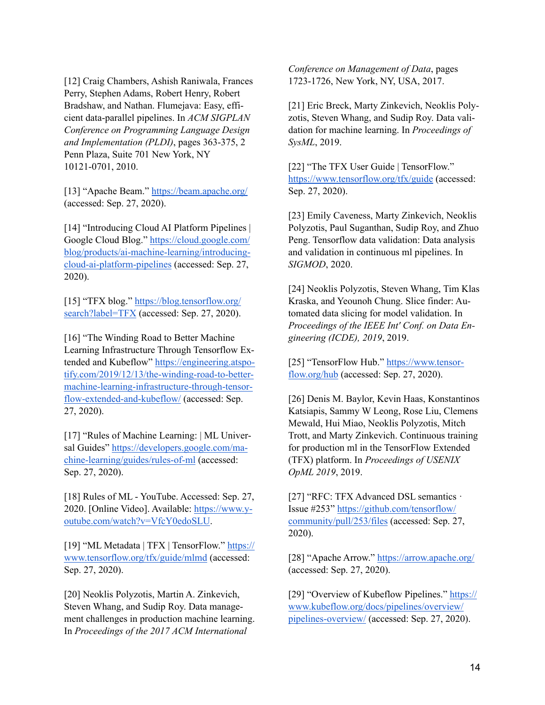[12] Craig Chambers, Ashish Raniwala, Frances Perry, Stephen Adams, Robert Henry, Robert Bradshaw, and Nathan. Flumejava: Easy, efficient data-parallel pipelines. In *ACM SIGPLAN Conference on Programming Language Design and Implementation (PLDI)*, pages 363-375, 2 Penn Plaza, Suite 701 New York, NY 10121-0701, 2010.

[13] "Apache Beam."<https://beam.apache.org/> (accessed: Sep. 27, 2020).

[14] "Introducing Cloud AI Platform Pipelines | Google Cloud Blog." [https://cloud.google.com/](https://cloud.google.com/blog/products/ai-machine-learning/introducing-cloud-ai-platform-pipelines) [blog/products/ai-machine-learning/introducing](https://cloud.google.com/blog/products/ai-machine-learning/introducing-cloud-ai-platform-pipelines)[cloud-ai-platform-pipelines](https://cloud.google.com/blog/products/ai-machine-learning/introducing-cloud-ai-platform-pipelines) (accessed: Sep. 27, 2020).

[\[15\] "TFX blog." https://blog.tensorflow.org/](https://blog.tensorflow.org/search?label=TFX) [search?label=TFX](https://blog.tensorflow.org/search?label=TFX) (accessed: Sep. 27, 2020).

[16] "The Winding Road to Better Machine" Learning Infrastructure Through Tensorflow Extended and Kubeflow" [https://engineering.atspo](https://engineering.atspotify.com/2019/12/13/the-winding-road-to-better-machine-learning-infrastructure-through-tensorflow-extended-and-kubeflow/)[tify.com/2019/12/13/the-winding-road-to-better](https://engineering.atspotify.com/2019/12/13/the-winding-road-to-better-machine-learning-infrastructure-through-tensorflow-extended-and-kubeflow/)[machine-learning-infrastructure-through-tensor](https://engineering.atspotify.com/2019/12/13/the-winding-road-to-better-machine-learning-infrastructure-through-tensorflow-extended-and-kubeflow/)[flow-extended-and-kubeflow/](https://engineering.atspotify.com/2019/12/13/the-winding-road-to-better-machine-learning-infrastructure-through-tensorflow-extended-and-kubeflow/) (accessed: Sep. 27, 2020).

[17] "Rules of Machine Learning: | ML Universal Guides" [https://developers.google.com/ma](https://developers.google.com/machine-learning/guides/rules-of-ml)[chine-learning/guides/rules-of-ml \(accessed:](https://developers.google.com/machine-learning/guides/rules-of-ml)  Sep. 27, 2020).

[18] Rules of ML - YouTube. Accessed: Sep. 27, [2020. \[Online Video\]. Available: https://www.y](https://www.youtube.com/watch?v=VfcY0edoSLU)[outube.com/watch?v=VfcY0edoSLU](https://www.youtube.com/watch?v=VfcY0edoSLU).

[19] "ML Metadata | TFX | TensorFlow." [https://](https://www.tensorflow.org/tfx/guide/mlmd) [www.tensorflow.org/tfx/guide/mlmd](https://www.tensorflow.org/tfx/guide/mlmd) (accessed: Sep. 27, 2020).

[20] Neoklis Polyzotis, Martin A. Zinkevich, Steven Whang, and Sudip Roy. Data management challenges in production machine learning. In *Proceedings of the 2017 ACM International* 

*Conference on Management of Data*, pages 1723-1726, New York, NY, USA, 2017.

[21] Eric Breck, Marty Zinkevich, Neoklis Polyzotis, Steven Whang, and Sudip Roy. Data validation for machine learning. In *Proceedings of SysML*, 2019.

[22] "The TFX User Guide | TensorFlow." <https://www.tensorflow.org/tfx/guide>(accessed: Sep. 27, 2020).

[23] Emily Caveness, Marty Zinkevich, Neoklis Polyzotis, Paul Suganthan, Sudip Roy, and Zhuo Peng. Tensorflow data validation: Data analysis and validation in continuous ml pipelines. In *SIGMOD*, 2020.

[24] Neoklis Polyzotis, Steven Whang, Tim Klas Kraska, and Yeounoh Chung. Slice finder: Automated data slicing for model validation. In *Proceedings of the IEEE Int' Conf. on Data Engineering (ICDE), 2019*, 2019.

[25] "TensorFlow Hub." [https://www.tensor](https://www.tensorflow.org/hub)[flow.org/hub](https://www.tensorflow.org/hub) (accessed: Sep. 27, 2020).

[26] Denis M. Baylor, Kevin Haas, Konstantinos Katsiapis, Sammy W Leong, Rose Liu, Clemens Mewald, Hui Miao, Neoklis Polyzotis, Mitch Trott, and Marty Zinkevich. Continuous training for production ml in the TensorFlow Extended (TFX) platform. In *Proceedings of USENIX OpML 2019*, 2019.

[27] "RFC: TFX Advanced DSL semantics · [Issue #253" https://github.com/tensorflow/](https://github.com/tensorflow/community/pull/253/files) [community/pull/253/files](https://github.com/tensorflow/community/pull/253/files) (accessed: Sep. 27, 2020).

[28] "Apache Arrow."<https://arrow.apache.org/> (accessed: Sep. 27, 2020).

[\[29\] "Overview of Kubeflow Pipelines." https://](https://www.kubeflow.org/docs/pipelines/overview/pipelines-overview/) [www.kubeflow.org/docs/pipelines/overview/](https://www.kubeflow.org/docs/pipelines/overview/pipelines-overview/) [pipelines-overview/](https://www.kubeflow.org/docs/pipelines/overview/pipelines-overview/) (accessed: Sep. 27, 2020).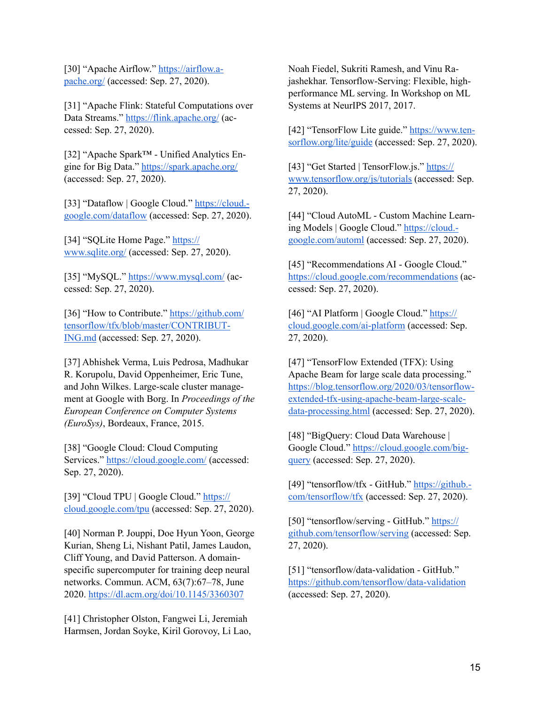[30] "Apache Airflow." [https://airflow.a](https://airflow.apache.org/)[pache.org/](https://airflow.apache.org/) (accessed: Sep. 27, 2020).

[31] "Apache Flink: Stateful Computations over Data Streams."<https://flink.apache.org/> (accessed: Sep. 27, 2020).

[32] "Apache Spark™ - Unified Analytics Engine for Big Data."<https://spark.apache.org/> (accessed: Sep. 27, 2020).

[33] "Dataflow | Google Cloud." [https://cloud.](https://cloud.google.com/dataflow) [google.com/dataflow](https://cloud.google.com/dataflow) (accessed: Sep. 27, 2020).

[34] "SQLite Home Page." [https://](https://www.sqlite.org/) [www.sqlite.org/](https://www.sqlite.org/) (accessed: Sep. 27, 2020).

[35] "MySQL."<https://www.mysql.com/> (accessed: Sep. 27, 2020).

[36] "How to Contribute." [https://github.com/](https://github.com/tensorflow/tfx/blob/master/CONTRIBUTING.md) [tensorflow/tfx/blob/master/CONTRIBUT-](https://github.com/tensorflow/tfx/blob/master/CONTRIBUTING.md)[ING.md](https://github.com/tensorflow/tfx/blob/master/CONTRIBUTING.md) (accessed: Sep. 27, 2020).

[37] Abhishek Verma, Luis Pedrosa, Madhukar R. Korupolu, David Oppenheimer, Eric Tune, and John Wilkes. Large-scale cluster management at Google with Borg. In *Proceedings of the European Conference on Computer Systems (EuroSys)*, Bordeaux, France, 2015.

[38] "Google Cloud: Cloud Computing Services." <https://cloud.google.com/> (accessed: Sep. 27, 2020).

[39] "Cloud TPU | Google Cloud." [https://](https://cloud.google.com/tpu) [cloud.google.com/tpu](https://cloud.google.com/tpu) (accessed: Sep. 27, 2020).

[40] Norman P. Jouppi, Doe Hyun Yoon, George Kurian, Sheng Li, Nishant Patil, James Laudon, Cliff Young, and David Patterson. A domainspecific supercomputer for training deep neural networks. Commun. ACM, 63(7):67–78, June 2020. <https://dl.acm.org/doi/10.1145/3360307>

[41] Christopher Olston, Fangwei Li, Jeremiah Harmsen, Jordan Soyke, Kiril Gorovoy, Li Lao,

Noah Fiedel, Sukriti Ramesh, and Vinu Rajashekhar. Tensorflow-Serving: Flexible, highperformance ML serving. In Workshop on ML Systems at NeurIPS 2017, 2017.

[42] "TensorFlow Lite guide." [https://www.ten](https://www.tensorflow.org/lite/guide)[sorflow.org/lite/guide](https://www.tensorflow.org/lite/guide) (accessed: Sep. 27, 2020).

[43] "Get Started | TensorFlow.js." [https://](https://www.tensorflow.org/js/tutorials) [www.tensorflow.org/js/tutorials](https://www.tensorflow.org/js/tutorials) (accessed: Sep. 27, 2020).

[44] "Cloud AutoML - Custom Machine Learning Models | Google Cloud." [https://cloud.](https://cloud.google.com/automl) [google.com/automl](https://cloud.google.com/automl) (accessed: Sep. 27, 2020).

[45] "Recommendations AI - Google Cloud." <https://cloud.google.com/recommendations>(accessed: Sep. 27, 2020).

[46] "AI Platform | Google Cloud." [https://](https://cloud.google.com/ai-platform) [cloud.google.com/ai-platform](https://cloud.google.com/ai-platform) (accessed: Sep. 27, 2020).

[47] "TensorFlow Extended (TFX): Using Apache Beam for large scale data processing." [https://blog.tensorflow.org/2020/03/tensorflow](https://blog.tensorflow.org/2020/03/tensorflow-extended-tfx-using-apache-beam-large-scale-data-processing.html)[extended-tfx-using-apache-beam-large-scale](https://blog.tensorflow.org/2020/03/tensorflow-extended-tfx-using-apache-beam-large-scale-data-processing.html)[data-processing.html](https://blog.tensorflow.org/2020/03/tensorflow-extended-tfx-using-apache-beam-large-scale-data-processing.html) (accessed: Sep. 27, 2020).

[48] "BigQuery: Cloud Data Warehouse | Google Cloud." [https://cloud.google.com/big](https://cloud.google.com/bigquery)[query](https://cloud.google.com/bigquery) (accessed: Sep. 27, 2020).

[49] "tensorflow/tfx - GitHub." [https://github.](https://github.com/tensorflow/tfx)[com/tensorflow/tfx](https://github.com/tensorflow/tfx) (accessed: Sep. 27, 2020).

[50] "tensorflow/serving - GitHub." [https://](https://github.com/tensorflow/serving) [github.com/tensorflow/serving](https://github.com/tensorflow/serving) (accessed: Sep. 27, 2020).

[51] "tensorflow/data-validation - GitHub." <https://github.com/tensorflow/data-validation> (accessed: Sep. 27, 2020).